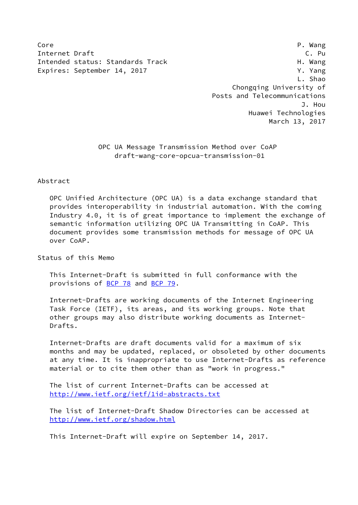Core P. Wang Internet Draft Carrier Communications of the C. Pu Intended status: Standards Track H. Wang Expires: September 14, 2017 The Contract of the V. Yang

 L. Shao Chongqing University of Posts and Telecommunications J. Hou Huawei Technologies March 13, 2017

> OPC UA Message Transmission Method over CoAP draft-wang-core-opcua-transmission-01

### Abstract

 OPC Unified Architecture (OPC UA) is a data exchange standard that provides interoperability in industrial automation. With the coming Industry 4.0, it is of great importance to implement the exchange of semantic information utilizing OPC UA Transmitting in CoAP. This document provides some transmission methods for message of OPC UA over CoAP.

Status of this Memo

 This Internet-Draft is submitted in full conformance with the provisions of [BCP 78](https://datatracker.ietf.org/doc/pdf/bcp78) and [BCP 79](https://datatracker.ietf.org/doc/pdf/bcp79).

 Internet-Drafts are working documents of the Internet Engineering Task Force (IETF), its areas, and its working groups. Note that other groups may also distribute working documents as Internet- Drafts.

 Internet-Drafts are draft documents valid for a maximum of six months and may be updated, replaced, or obsoleted by other documents at any time. It is inappropriate to use Internet-Drafts as reference material or to cite them other than as "work in progress."

 The list of current Internet-Drafts can be accessed at <http://www.ietf.org/ietf/1id-abstracts.txt>

 The list of Internet-Draft Shadow Directories can be accessed at <http://www.ietf.org/shadow.html>

This Internet-Draft will expire on September 14, 2017.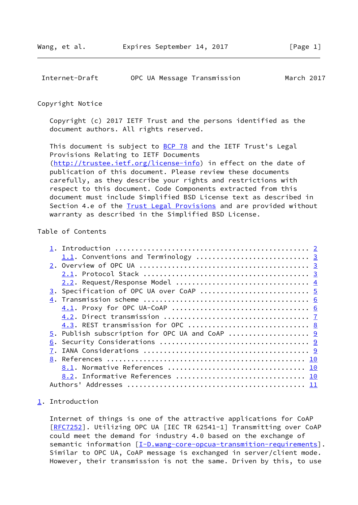<span id="page-1-1"></span>

| Internet-Draft | OPC UA Message Transmission | March 2017 |
|----------------|-----------------------------|------------|
|----------------|-----------------------------|------------|

#### Copyright Notice

 Copyright (c) 2017 IETF Trust and the persons identified as the document authors. All rights reserved.

This document is subject to **[BCP 78](https://datatracker.ietf.org/doc/pdf/bcp78)** and the IETF Trust's Legal Provisions Relating to IETF Documents [\(http://trustee.ietf.org/license-info](http://trustee.ietf.org/license-info)) in effect on the date of publication of this document. Please review these documents carefully, as they describe your rights and restrictions with respect to this document. Code Components extracted from this document must include Simplified BSD License text as described in Section 4.e of the **[Trust Legal Provisions](https://trustee.ietf.org/license-info)** and are provided without warranty as described in the Simplified BSD License.

# Table of Contents

| 2.2. Request/Response Model  4    |  |
|-----------------------------------|--|
|                                   |  |
|                                   |  |
|                                   |  |
|                                   |  |
| 4.3. REST transmission for OPC  8 |  |
|                                   |  |
|                                   |  |
|                                   |  |
|                                   |  |
|                                   |  |
| 8.2. Informative References  10   |  |
|                                   |  |

### <span id="page-1-0"></span>[1](#page-1-0). Introduction

 Internet of things is one of the attractive applications for CoAP [\[RFC7252](https://datatracker.ietf.org/doc/pdf/rfc7252)]. Utilizing OPC UA [IEC TR 62541-1] Transmitting over CoAP could meet the demand for industry 4.0 based on the exchange of semantic information [\[I-D.wang-core-opcua-transmition-requirements](#page-10-2)]. Similar to OPC UA, CoAP message is exchanged in server/client mode. However, their transmission is not the same. Driven by this, to use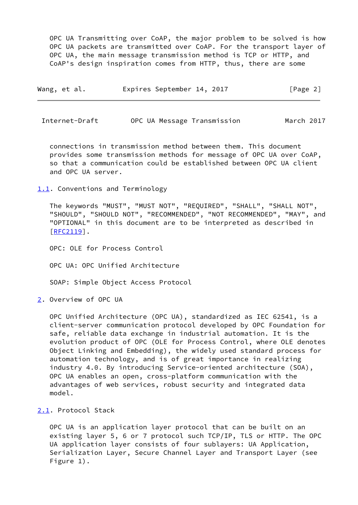OPC UA Transmitting over CoAP, the major problem to be solved is how OPC UA packets are transmitted over CoAP. For the transport layer of OPC UA, the main message transmission method is TCP or HTTP, and CoAP's design inspiration comes from HTTP, thus, there are some

| Wang, et al. | Expires September 14, 2017 |  | [Page 2] |
|--------------|----------------------------|--|----------|
|--------------|----------------------------|--|----------|

<span id="page-2-1"></span>Internet-Draft OPC UA Message Transmission March 2017

 connections in transmission method between them. This document provides some transmission methods for message of OPC UA over CoAP, so that a communication could be established between OPC UA client and OPC UA server.

<span id="page-2-0"></span>[1.1](#page-2-0). Conventions and Terminology

 The keywords "MUST", "MUST NOT", "REQUIRED", "SHALL", "SHALL NOT", "SHOULD", "SHOULD NOT", "RECOMMENDED", "NOT RECOMMENDED", "MAY", and "OPTIONAL" in this document are to be interpreted as described in [\[RFC2119](https://datatracker.ietf.org/doc/pdf/rfc2119)].

OPC: OLE for Process Control

OPC UA: OPC Unified Architecture

SOAP: Simple Object Access Protocol

<span id="page-2-2"></span>[2](#page-2-2). Overview of OPC UA

 OPC Unified Architecture (OPC UA), standardized as IEC 62541, is a client-server communication protocol developed by OPC Foundation for safe, reliable data exchange in industrial automation. It is the evolution product of OPC (OLE for Process Control, where OLE denotes Object Linking and Embedding), the widely used standard process for automation technology, and is of great importance in realizing industry 4.0. By introducing Service-oriented architecture (SOA), OPC UA enables an open, cross-platform communication with the advantages of web services, robust security and integrated data model.

<span id="page-2-3"></span>[2.1](#page-2-3). Protocol Stack

 OPC UA is an application layer protocol that can be built on an existing layer 5, 6 or 7 protocol such TCP/IP, TLS or HTTP. The OPC UA application layer consists of four sublayers: UA Application, Serialization Layer, Secure Channel Layer and Transport Layer (see Figure 1).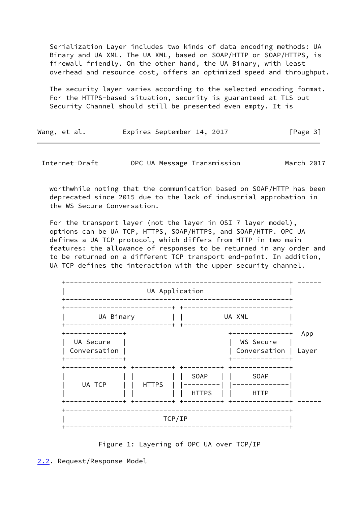Serialization Layer includes two kinds of data encoding methods: UA Binary and UA XML. The UA XML, based on SOAP/HTTP or SOAP/HTTPS, is firewall friendly. On the other hand, the UA Binary, with least overhead and resource cost, offers an optimized speed and throughput.

 The security layer varies according to the selected encoding format. For the HTTPS-based situation, security is guaranteed at TLS but Security Channel should still be presented even empty. It is

| Wang, et al. |  | Expires September 14, 2017 |  | [Page 3] |  |
|--------------|--|----------------------------|--|----------|--|
|              |  |                            |  |          |  |

<span id="page-3-1"></span>Internet-Draft OPC UA Message Transmission March 2017

 worthwhile noting that the communication based on SOAP/HTTP has been deprecated since 2015 due to the lack of industrial approbation in the WS Secure Conversation.

 For the transport layer (not the layer in OSI 7 layer model), options can be UA TCP, HTTPS, SOAP/HTTPS, and SOAP/HTTP. OPC UA defines a UA TCP protocol, which differs from HTTP in two main features: the allowance of responses to be returned in any order and to be returned on a different TCP transport end-point. In addition, UA TCP defines the interaction with the upper security channel.



<span id="page-3-0"></span>Figure 1: Layering of OPC UA over TCP/IP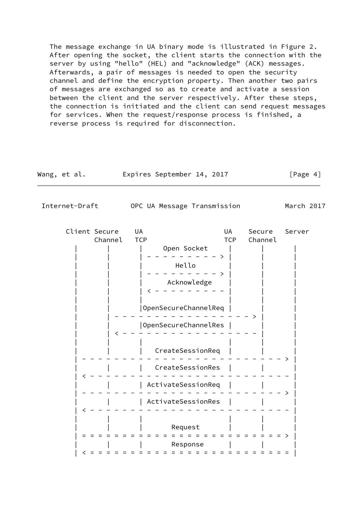The message exchange in UA binary mode is illustrated in Figure 2. After opening the socket, the client starts the connection with the server by using "hello" (HEL) and "acknowledge" (ACK) messages. Afterwards, a pair of messages is needed to open the security channel and define the encryption property. Then another two pairs of messages are exchanged so as to create and activate a session between the client and the server respectively. After these steps, the connection is initiated and the client can send request messages for services. When the request/response process is finished, a reverse process is required for disconnection.

| Wang, et al. | Expires September 14, 2017 |  | [Page 4] |  |
|--------------|----------------------------|--|----------|--|
|              |                            |  |          |  |

<span id="page-4-0"></span>Internet-Draft OPC UA Message Transmission March 2017

| Client Secure | UA                   | UA         | Secure  | Server |
|---------------|----------------------|------------|---------|--------|
| Channel       | <b>TCP</b>           | <b>TCP</b> | Channel |        |
|               | Open Socket          |            |         |        |
|               |                      |            |         |        |
|               | Hello                |            |         |        |
|               |                      |            |         |        |
|               | Acknowledge          |            |         |        |
|               |                      |            |         |        |
|               | OpenSecureChannelReq |            |         |        |
|               | OpenSecureChannelRes |            |         |        |
|               |                      |            |         |        |
|               | CreateSessionReq     |            |         |        |
|               | CreateSessionRes     |            |         |        |
|               |                      |            |         |        |
|               | ActivateSessionReq   |            |         |        |
|               | ActivateSessionRes   |            |         |        |
|               |                      |            |         |        |
|               |                      |            |         |        |
|               | Request              |            |         |        |
|               |                      |            |         |        |
|               | Response             |            |         |        |
|               |                      |            |         |        |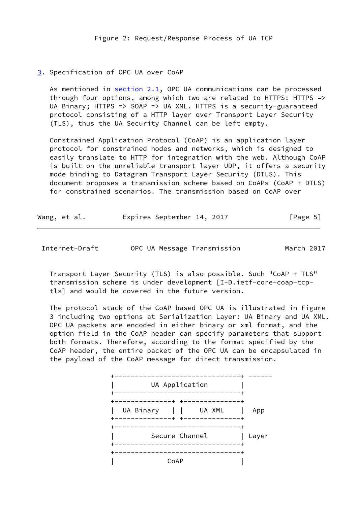## <span id="page-5-0"></span>[3](#page-5-0). Specification of OPC UA over CoAP

As mentioned in [section 2.1](#page-2-3), OPC UA communications can be processed through four options, among which two are related to HTTPS: HTTPS => UA Binary; HTTPS => SOAP => UA XML. HTTPS is a security-guaranteed protocol consisting of a HTTP layer over Transport Layer Security (TLS), thus the UA Security Channel can be left empty.

 Constrained Application Protocol (CoAP) is an application layer protocol for constrained nodes and networks, which is designed to easily translate to HTTP for integration with the web. Although CoAP is built on the unreliable transport layer UDP, it offers a security mode binding to Datagram Transport Layer Security (DTLS). This document proposes a transmission scheme based on CoAPs (CoAP + DTLS) for constrained scenarios. The transmission based on CoAP over

| Wang, et al. | Expires September 14, 2017 |  |  | [Page 5] |  |
|--------------|----------------------------|--|--|----------|--|
|--------------|----------------------------|--|--|----------|--|

<span id="page-5-1"></span>Internet-Draft OPC UA Message Transmission March 2017

 Transport Layer Security (TLS) is also possible. Such "CoAP + TLS" transmission scheme is under development [I-D.ietf-core-coap-tcp tls] and would be covered in the future version.

 The protocol stack of the CoAP based OPC UA is illustrated in Figure 3 including two options at Serialization Layer: UA Binary and UA XML. OPC UA packets are encoded in either binary or xml format, and the option field in the CoAP header can specify parameters that support both formats. Therefore, according to the format specified by the CoAP header, the entire packet of the OPC UA can be encapsulated in the payload of the CoAP message for direct transmission.

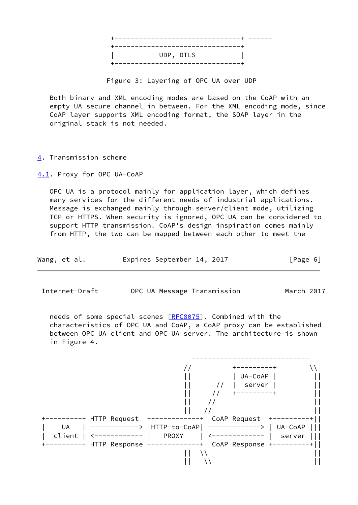

Figure 3: Layering of OPC UA over UDP

 Both binary and XML encoding modes are based on the CoAP with an empty UA secure channel in between. For the XML encoding mode, since CoAP layer supports XML encoding format, the SOAP layer in the original stack is not needed.

<span id="page-6-0"></span>[4](#page-6-0). Transmission scheme

<span id="page-6-1"></span>[4.1](#page-6-1). Proxy for OPC UA-CoAP

 OPC UA is a protocol mainly for application layer, which defines many services for the different needs of industrial applications. Message is exchanged mainly through server/client mode, utilizing TCP or HTTPS. When security is ignored, OPC UA can be considered to support HTTP transmission. CoAP's design inspiration comes mainly from HTTP, the two can be mapped between each other to meet the

| Wang, et al. | Expires September 14, 2017 | [Page 6] |
|--------------|----------------------------|----------|
|--------------|----------------------------|----------|

<span id="page-6-2"></span>Internet-Draft OPC UA Message Transmission March 2017

 needs of some special scenes [\[RFC8075](https://datatracker.ietf.org/doc/pdf/rfc8075)]. Combined with the characteristics of OPC UA and CoAP, a CoAP proxy can be established between OPC UA client and OPC UA server. The architecture is shown in Figure 4.

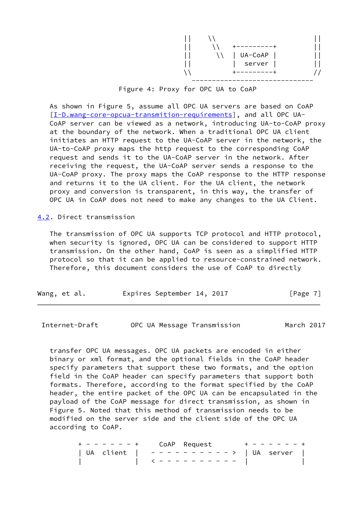| $\mathsf{L}$ | UA-CoAP |  |
|--------------|---------|--|
| $\Box$       | server  |  |
|              |         |  |
|              |         |  |

Figure 4: Proxy for OPC UA to CoAP

 As shown in Figure 5, assume all OPC UA servers are based on CoAP [\[I-D.wang-core-opcua-transmition-requirements](#page-10-2)], and all OPC UA- CoAP server can be viewed as a network, introducing UA-to-CoAP proxy at the boundary of the network. When a traditional OPC UA client initiates an HTTP request to the UA-CoAP server in the network, the UA-to-CoAP proxy maps the http request to the corresponding CoAP request and sends it to the UA-CoAP server in the network. After receiving the request, the UA-CoAP server sends a response to the UA-CoAP proxy. The proxy maps the CoAP response to the HTTP response and returns it to the UA client. For the UA client, the network proxy and conversion is transparent, in this way, the transfer of OPC UA in CoAP does not need to make any changes to the UA Client.

<span id="page-7-0"></span>[4.2](#page-7-0). Direct transmission

 The transmission of OPC UA supports TCP protocol and HTTP protocol, when security is ignored, OPC UA can be considered to support HTTP transmission. On the other hand, CoAP is seen as a simplified HTTP protocol so that it can be applied to resource-constrained network. Therefore, this document considers the use of CoAP to directly

| Wang, et al. |  |  |  | Expires September 14, 2017 |  |  | [Page 7] |  |
|--------------|--|--|--|----------------------------|--|--|----------|--|
|--------------|--|--|--|----------------------------|--|--|----------|--|

<span id="page-7-1"></span>Internet-Draft OPC UA Message Transmission March 2017

 transfer OPC UA messages. OPC UA packets are encoded in either binary or xml format, and the optional fields in the CoAP header specify parameters that support these two formats, and the option field in the CoAP header can specify parameters that support both formats. Therefore, according to the format specified by the CoAP header, the entire packet of the OPC UA can be encapsulated in the payload of the CoAP message for direct transmission, as shown in Figure 5. Noted that this method of transmission needs to be modified on the server side and the client side of the OPC UA according to CoAP.

| $+ - - - - - - +$ CoAP Request      |  | $+ - - - - - - +$ |  |
|-------------------------------------|--|-------------------|--|
| UA client   ---------->   UA server |  |                   |  |
|                                     |  |                   |  |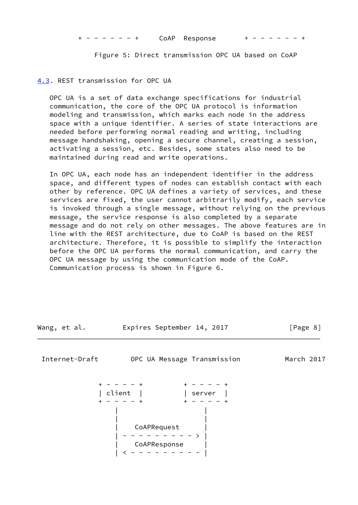$- - - +$  CoAP Response

Figure 5: Direct transmission OPC UA based on CoAP

<span id="page-8-0"></span>[4.3](#page-8-0). REST transmission for OPC UA

 OPC UA is a set of data exchange specifications for industrial communication, the core of the OPC UA protocol is information modeling and transmission, which marks each node in the address space with a unique identifier. A series of state interactions are needed before performing normal reading and writing, including message handshaking, opening a secure channel, creating a session, activating a session, etc. Besides, some states also need to be maintained during read and write operations.

 In OPC UA, each node has an independent identifier in the address space, and different types of nodes can establish contact with each other by reference. OPC UA defines a variety of services, and these services are fixed, the user cannot arbitrarily modify, each service is invoked through a single message, without relying on the previous message, the service response is also completed by a separate message and do not rely on other messages. The above features are in line with the REST architecture, due to CoAP is based on the REST architecture. Therefore, it is possible to simplify the interaction before the OPC UA performs the normal communication, and carry the OPC UA message by using the communication mode of the CoAP. Communication process is shown in Figure 6.

| Wang, et al. |  | Expires September 14, 2017 |  | [Page 8] |  |
|--------------|--|----------------------------|--|----------|--|
|--------------|--|----------------------------|--|----------|--|

<span id="page-8-1"></span>Internet-Draft OPC UA Message Transmission March 2017

 + - - - - + + - - - - + | client | | | server | + - - - - + + - - - - + | | | | | CoAPRequest | | - - - - - - - - - > | | CoAPResponse | | < - - - - - - - - - |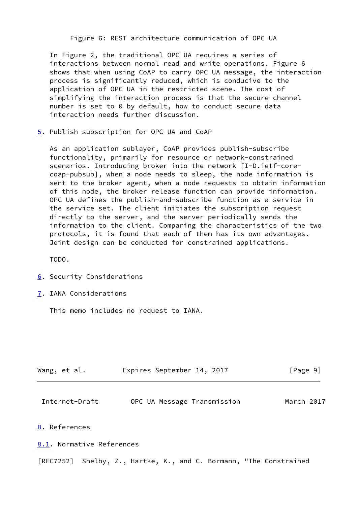Figure 6: REST architecture communication of OPC UA

 In Figure 2, the traditional OPC UA requires a series of interactions between normal read and write operations. Figure 6 shows that when using CoAP to carry OPC UA message, the interaction process is significantly reduced, which is conducive to the application of OPC UA in the restricted scene. The cost of simplifying the interaction process is that the secure channel number is set to 0 by default, how to conduct secure data interaction needs further discussion.

<span id="page-9-0"></span>[5](#page-9-0). Publish subscription for OPC UA and CoAP

 As an application sublayer, CoAP provides publish-subscribe functionality, primarily for resource or network-constrained scenarios. Introducing broker into the network [I-D.ietf-core coap-pubsub], when a node needs to sleep, the node information is sent to the broker agent, when a node requests to obtain information of this node, the broker release function can provide information. OPC UA defines the publish-and-subscribe function as a service in the service set. The client initiates the subscription request directly to the server, and the server periodically sends the information to the client. Comparing the characteristics of the two protocols, it is found that each of them has its own advantages. Joint design can be conducted for constrained applications.

TODO.

- <span id="page-9-1"></span>[6](#page-9-1). Security Considerations
- <span id="page-9-2"></span>[7](#page-9-2). IANA Considerations

This memo includes no request to IANA.

| Wang, et al. |  |  |  | Expires September 14, 2017 |  |  | [Page 9] |  |
|--------------|--|--|--|----------------------------|--|--|----------|--|
|--------------|--|--|--|----------------------------|--|--|----------|--|

<span id="page-9-4"></span>Internet-Draft OPC UA Message Transmission March 2017

### <span id="page-9-3"></span>[8](#page-9-3). References

<span id="page-9-5"></span>[8.1](#page-9-5). Normative References

[RFC7252] Shelby, Z., Hartke, K., and C. Bormann, "The Constrained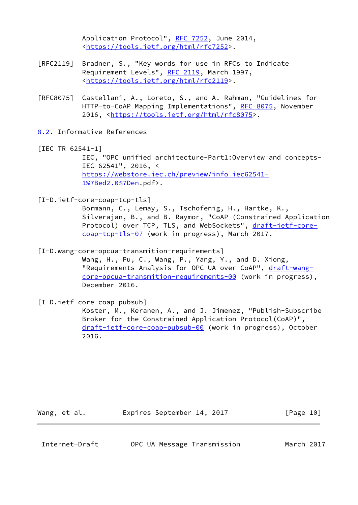Application Protocol", [RFC 7252,](https://datatracker.ietf.org/doc/pdf/rfc7252) June 2014, [<https://tools.ietf.org/html/rfc7252](https://tools.ietf.org/html/rfc7252)>.

- [RFC2119] Bradner, S., "Key words for use in RFCs to Indicate Requirement Levels", [RFC 2119](https://datatracker.ietf.org/doc/pdf/rfc2119), March 1997, [<https://tools.ietf.org/html/rfc2119](https://tools.ietf.org/html/rfc2119)>.
- [RFC8075] Castellani, A., Loreto, S., and A. Rahman, "Guidelines for HTTP-to-CoAP Mapping Implementations", [RFC 8075,](https://datatracker.ietf.org/doc/pdf/rfc8075) November 2016, <<https://tools.ietf.org/html/rfc8075>>.
- <span id="page-10-0"></span>[8.2](#page-10-0). Informative References
- [IEC TR 62541-1]

 IEC, "OPC unified architecture-Part1:Overview and concepts- IEC 62541", 2016, < [https://webstore.iec.ch/preview/info\\_iec62541-](https://webstore.iec.ch/preview/info_iec62541-1%7Bed2.0%7Den) [1%7Bed2.0%7Den](https://webstore.iec.ch/preview/info_iec62541-1%7Bed2.0%7Den).pdf>.

[I-D.ietf-core-coap-tcp-tls]

 Bormann, C., Lemay, S., Tschofenig, H., Hartke, K., Silverajan, B., and B. Raymor, "CoAP (Constrained Application Protocol) over TCP, TLS, and WebSockets", [draft-ietf-core](https://datatracker.ietf.org/doc/pdf/draft-ietf-core-coap-tcp-tls-07) [coap-tcp-tls-07](https://datatracker.ietf.org/doc/pdf/draft-ietf-core-coap-tcp-tls-07) (work in progress), March 2017.

<span id="page-10-2"></span>[I-D.wang-core-opcua-transmition-requirements]

 Wang, H., Pu, C., Wang, P., Yang, Y., and D. Xiong, "Requirements Analysis for OPC UA over CoAP", [draft-wang](https://datatracker.ietf.org/doc/pdf/draft-wang-core-opcua-transmition-requirements-00) [core-opcua-transmition-requirements-00](https://datatracker.ietf.org/doc/pdf/draft-wang-core-opcua-transmition-requirements-00) (work in progress), December 2016.

[I-D.ietf-core-coap-pubsub]

 Koster, M., Keranen, A., and J. Jimenez, "Publish-Subscribe Broker for the Constrained Application Protocol(CoAP)", [draft-ietf-core-coap-pubsub-00](https://datatracker.ietf.org/doc/pdf/draft-ietf-core-coap-pubsub-00) (work in progress), October 2016.

Wang, et al. Expires September 14, 2017 [Page 10]

<span id="page-10-1"></span>

| OPC UA Message Transmission<br>Internet-Draft |  | March 2017 |
|-----------------------------------------------|--|------------|
|-----------------------------------------------|--|------------|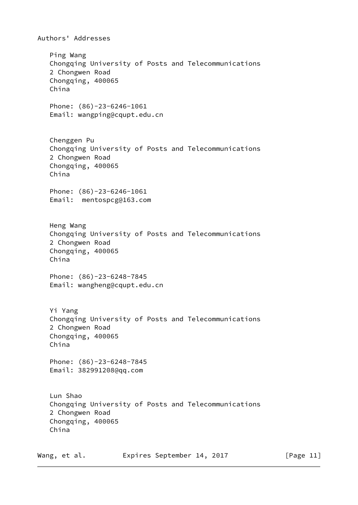Authors' Addresses Ping Wang Chongqing University of Posts and Telecommunications 2 Chongwen Road Chongqing, 400065 China Phone: (86)-23-6246-1061 Email: wangping@cqupt.edu.cn Chenggen Pu Chongqing University of Posts and Telecommunications 2 Chongwen Road Chongqing, 400065 China Phone: (86)-23-6246-1061 Email: mentospcg@163.com Heng Wang Chongqing University of Posts and Telecommunications 2 Chongwen Road Chongqing, 400065 China Phone: (86)-23-6248-7845 Email: wangheng@cqupt.edu.cn Yi Yang Chongqing University of Posts and Telecommunications 2 Chongwen Road Chongqing, 400065 China Phone: (86)-23-6248-7845 Email: 382991208@qq.com Lun Shao Chongqing University of Posts and Telecommunications 2 Chongwen Road Chongqing, 400065 China

Wang, et al. Expires September 14, 2017 [Page 11]